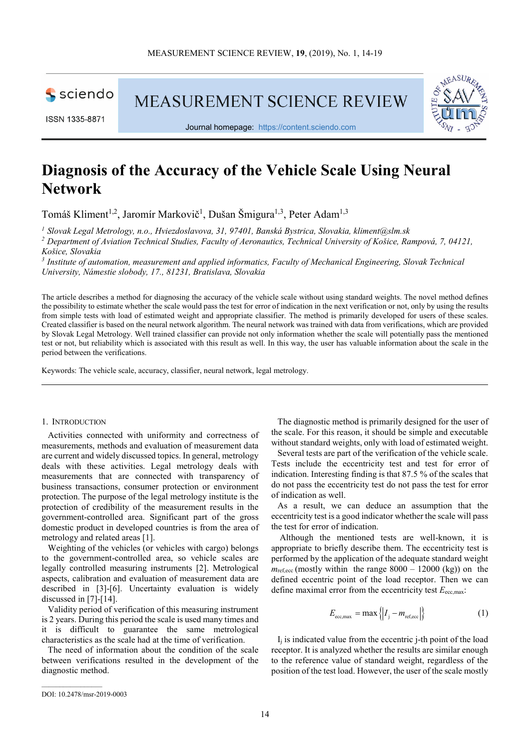

ISSN 1335-8871

**MEASUREMENT SCIENCE REVIEW** 



Journal homepage: https://content.sciendo.com

# **Diagnosis of the Accuracy of the Vehicle Scale Using Neural Network**

Tomáš Kliment<sup>1,2</sup>, Jaromír Markovič<sup>1</sup>, Dušan Šmigura<sup>1,3</sup>, Peter Adam<sup>1,3</sup>

*<sup>1</sup> Slovak Legal Metrology, n.o., Hviezdoslavova, 31, 97401, Banská Bystrica, Slovakia, kliment@slm.sk <sup>2</sup> Department of Aviation Technical Studies, Faculty of Aeronautics, Technical University of Košice, Rampová, 7, 04121,* 

*Košice, Slovakia* 

<sup>3</sup> Institute of automation, measurement and applied informatics, Faculty of Mechanical Engineering, Slovak Technical *University, Námestie slobody, 17., 81231, Bratislava, Slovakia* 

The article describes a method for diagnosing the accuracy of the vehicle scale without using standard weights. The novel method defines the possibility to estimate whether the scale would pass the test for error of indication in the next verification or not, only by using the results from simple tests with load of estimated weight and appropriate classifier. The method is primarily developed for users of these scales. Created classifier is based on the neural network algorithm. The neural network was trained with data from verifications, which are provided by Slovak Legal Metrology. Well trained classifier can provide not only information whether the scale will potentially pass the mentioned test or not, but reliability which is associated with this result as well. In this way, the user has valuable information about the scale in the period between the verifications.

Keywords: The vehicle scale, accuracy, classifier, neural network, legal metrology.

### 1. INTRODUCTION

Activities connected with uniformity and correctness of measurements, methods and evaluation of measurement data are current and widely discussed topics. In general, metrology deals with these activities. Legal metrology deals with measurements that are connected with transparency of business transactions, consumer protection or environment protection. The purpose of the legal metrology institute is the protection of credibility of the measurement results in the government-controlled area. Significant part of the gross domestic product in developed countries is from the area of metrology and related areas [1].

Weighting of the vehicles (or vehicles with cargo) belongs to the government-controlled area, so vehicle scales are legally controlled measuring instruments [2]. Metrological aspects, calibration and evaluation of measurement data are described in [3]-[6]. Uncertainty evaluation is widely discussed in [7]-[14].

Validity period of verification of this measuring instrument is 2 years. During this period the scale is used many times and it is difficult to guarantee the same metrological characteristics as the scale had at the time of verification.

The need of information about the condition of the scale between verifications resulted in the development of the diagnostic method.

The diagnostic method is primarily designed for the user of the scale. For this reason, it should be simple and executable without standard weights, only with load of estimated weight.

Several tests are part of the verification of the vehicle scale. Tests include the eccentricity test and test for error of indication. Interesting finding is that 87.5 % of the scales that do not pass the eccentricity test do not pass the test for error of indication as well.

As a result, we can deduce an assumption that the eccentricity test is a good indicator whether the scale will pass the test for error of indication.

 Although the mentioned tests are well-known, it is appropriate to briefly describe them. The eccentricity test is performed by the application of the adequate standard weight  $m_{\text{ref,ecc}}$  (mostly within the range  $8000 - 12000$  (kg)) on the defined eccentric point of the load receptor. Then we can define maximal error from the eccentricity test  $E_{\text{ecc max}}$ :

$$
E_{\text{ecc,max}} = \max \{|I_j - m_{\text{ref,ecc}}|\}\
$$
 (1)

 $I_i$  is indicated value from the eccentric *j*-th point of the load receptor. It is analyzed whether the results are similar enough to the reference value of standard weight, regardless of the position of the test load. However, the user of the scale mostly

DOI: 10.2478/msr-2019-0003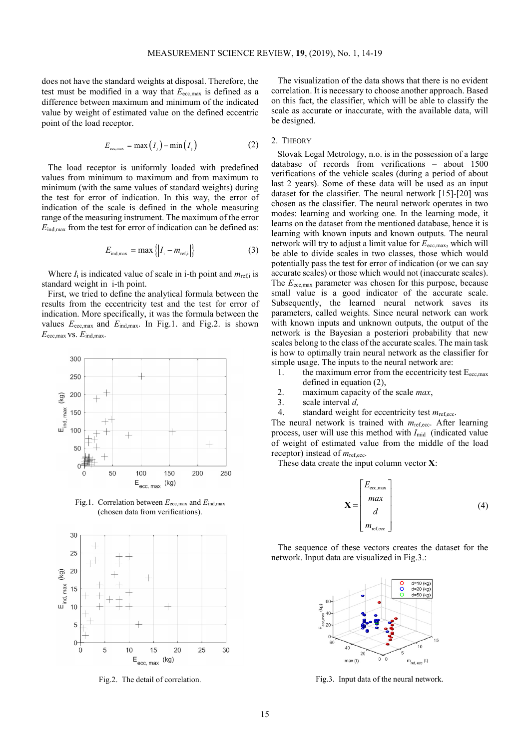does not have the standard weights at disposal. Therefore, the test must be modified in a way that *E*ecc,max is defined as a difference between maximum and minimum of the indicated value by weight of estimated value on the defined eccentric point of the load receptor.

$$
E_{\text{ecc,max}} = \max(I_i) - \min(I_i) \tag{2}
$$

The load receptor is uniformly loaded with predefined values from minimum to maximum and from maximum to minimum (with the same values of standard weights) during the test for error of indication. In this way, the error of indication of the scale is defined in the whole measuring range of the measuring instrument. The maximum of the error  $E_{\text{ind,max}}$  from the test for error of indication can be defined as:

$$
E_{\text{ind,max}} = \max\left\{ \left| I_i - m_{\text{ref,i}} \right| \right\} \tag{3}
$$

Where  $I_i$  is indicated value of scale in i-th point and  $m_{ref,i}$  is standard weight in i-th point.

First, we tried to define the analytical formula between the results from the eccentricity test and the test for error of indication. More specifically, it was the formula between the values  $E_{\text{ecc,max}}$  and  $E_{\text{ind,max}}$ . In Fig.1. and Fig.2. is shown *E*ecc,max vs. *E*ind,max.



Fig.1. Correlation between *E*ecc,max and *E*ind,max (chosen data from verifications).



Fig.2. The detail of correlation.

The visualization of the data shows that there is no evident correlation. It is necessary to choose another approach. Based on this fact, the classifier, which will be able to classify the scale as accurate or inaccurate, with the available data, will be designed.

## 2. THEORY

Slovak Legal Metrology, n.o. is in the possession of a large database of records from verifications – about 1500 verifications of the vehicle scales (during a period of about last 2 years). Some of these data will be used as an input dataset for the classifier. The neural network [15]-[20] was chosen as the classifier. The neural network operates in two modes: learning and working one. In the learning mode, it learns on the dataset from the mentioned database, hence it is learning with known inputs and known outputs. The neural network will try to adjust a limit value for  $E_{\text{ecc,max}}$ , which will be able to divide scales in two classes, those which would potentially pass the test for error of indication (or we can say accurate scales) or those which would not (inaccurate scales). The *E*<sub>ecc,max</sub> parameter was chosen for this purpose, because small value is a good indicator of the accurate scale. Subsequently, the learned neural network saves its parameters, called weights. Since neural network can work with known inputs and unknown outputs, the output of the network is the Bayesian a posteriori probability that new scales belong to the class of the accurate scales. The main task is how to optimally train neural network as the classifier for simple usage. The inputs to the neural network are:

- 1. the maximum error from the eccentricity test  $E_{\text{ecc,max}}$ defined in equation (2),
- 2. maximum capacity of the scale *max*,
- 3. scale interval *d,*
- 4. standard weight for eccentricity test *m*ref,ecc.

The neural network is trained with  $m_{\text{ref,ecc}}$ . After learning process, user will use this method with *I*<sub>mid</sub> (indicated value of weight of estimated value from the middle of the load receptor) instead of *m*ref,ecc.

These data create the input column vector **X**:

$$
\mathbf{X} = \begin{bmatrix} E_{\text{ecc,max}} \\ max \\ d \\ m_{\text{ref,ecc}} \end{bmatrix}
$$
 (4)

The sequence of these vectors creates the dataset for the network. Input data are visualized in Fig.3.:



Fig.3. Input data of the neural network.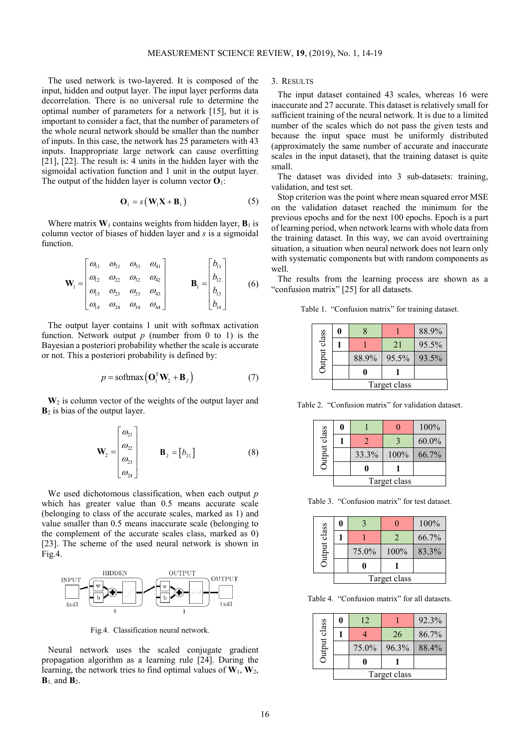The used network is two-layered. It is composed of the input, hidden and output layer. The input layer performs data decorrelation. There is no universal rule to determine the optimal number of parameters for a network [15], but it is important to consider a fact, that the number of parameters of the whole neural network should be smaller than the number of inputs. In this case, the network has 25 parameters with 43 inputs. Inappropriate large network can cause overfitting [21], [22]. The result is: 4 units in the hidden layer with the sigmoidal activation function and 1 unit in the output layer. The output of the hidden layer is column vector  $O_1$ :

$$
\mathbf{O}_1 = s \left( \mathbf{W}_1 \mathbf{X} + \mathbf{B}_1 \right) \tag{5}
$$

Where matrix  $W_1$  contains weights from hidden layer,  $B_1$  is column vector of biases of hidden layer and *s* is a sigmoidal function.

$$
\mathbf{W}_{1} = \begin{bmatrix} \omega_{11} & \omega_{21} & \omega_{31} & \omega_{41} \\ \omega_{12} & \omega_{22} & \omega_{32} & \omega_{42} \\ \omega_{13} & \omega_{23} & \omega_{33} & \omega_{43} \\ \omega_{14} & \omega_{24} & \omega_{34} & \omega_{44} \end{bmatrix} \qquad \qquad \mathbf{B}_{1} = \begin{bmatrix} b_{11} \\ b_{12} \\ b_{13} \\ b_{14} \end{bmatrix} \qquad (6)
$$

The output layer contains 1 unit with softmax activation function. Network output  $p$  (number from 0 to 1) is the Bayesian a posteriori probability whether the scale is accurate or not. This a posteriori probability is defined by:

$$
p = \text{softmax}\left(\mathbf{O}_1^{\text{T}} \mathbf{W}_2 + \mathbf{B}_2\right) \tag{7}
$$

**W**2 is column vector of the weights of the output layer and **B**2 is bias of the output layer.

$$
\mathbf{W}_2 = \begin{bmatrix} \omega_{21} \\ \omega_{22} \\ \omega_{23} \\ \omega_{24} \end{bmatrix} \qquad \mathbf{B}_2 = \begin{bmatrix} b_{21} \end{bmatrix} \tag{8}
$$

We used dichotomous classification, when each output *p* which has greater value than 0.5 means accurate scale (belonging to class of the accurate scales, marked as 1) and value smaller than 0.5 means inaccurate scale (belonging to the complement of the accurate scales class, marked as 0) [23]. The scheme of the used neural network is shown in Fig.4.



Fig.4. Classification neural network.

Neural network uses the scaled conjugate gradient propagation algorithm as a learning rule [24]. During the learning, the network tries to find optimal values of  $W_1$ ,  $W_2$ ,  $\mathbf{B}_1$ , and  $\mathbf{B}_2$ .

3. RESULTS

The input dataset contained 43 scales, whereas 16 were inaccurate and 27 accurate. This dataset is relatively small for sufficient training of the neural network. It is due to a limited number of the scales which do not pass the given tests and because the input space must be uniformly distributed (approximately the same number of accurate and inaccurate scales in the input dataset), that the training dataset is quite small.

The dataset was divided into 3 sub-datasets: training, validation, and test set.

Stop criterion was the point where mean squared error MSE on the validation dataset reached the minimum for the previous epochs and for the next 100 epochs. Epoch is a part of learning period, when network learns with whole data from the training dataset. In this way, we can avoid overtraining situation, a situation when neural network does not learn only with systematic components but with random components as well.

The results from the learning process are shown as a "confusion matrix" [25] for all datasets.

Table 1. "Confusion matrix" for training dataset.

| <b>Dutput</b> class |              |       |       | 88.9% |
|---------------------|--------------|-------|-------|-------|
|                     |              |       | 21    | 95.5% |
|                     |              | 88.9% | 95.5% | 93.5% |
|                     |              |       |       |       |
|                     | Target class |       |       |       |

Table 2. "Confusion matrix" for validation dataset.

| <b>Dutput</b> class |              |       |      | 100%  |
|---------------------|--------------|-------|------|-------|
|                     |              |       |      | 60.0% |
|                     |              | 33.3% | 100% | 66.7% |
|                     |              |       |      |       |
|                     | Target class |       |      |       |

Table 3. "Confusion matrix" for test dataset.

|              | 0            |       |      | 100%  |
|--------------|--------------|-------|------|-------|
| Output class |              |       |      | 66.7% |
|              |              | 75.0% | 100% | 83.3% |
|              |              |       |      |       |
|              | Target class |       |      |       |

Table 4. "Confusion matrix" for all datasets.

| Output class |              | 12    |       | 92.3% |
|--------------|--------------|-------|-------|-------|
|              |              |       | 26    | 86.7% |
|              |              | 75.0% | 96.3% | 88.4% |
|              |              |       |       |       |
|              | Target class |       |       |       |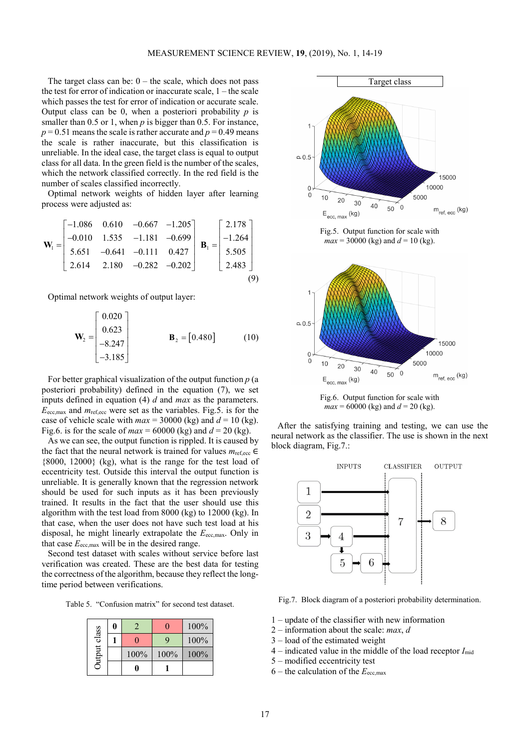The target class can be:  $0$  – the scale, which does not pass the test for error of indication or inaccurate scale, 1 – the scale which passes the test for error of indication or accurate scale. Output class can be 0, when a posteriori probability  $p$  is smaller than 0.5 or 1, when *p* is bigger than 0.5. For instance,  $p = 0.51$  means the scale is rather accurate and  $p = 0.49$  means the scale is rather inaccurate, but this classification is unreliable. In the ideal case, the target class is equal to output class for all data. In the green field is the number of the scales, which the network classified correctly. In the red field is the number of scales classified incorrectly.

Optimal network weights of hidden layer after learning process were adjusted as:

$$
\mathbf{W}_{1} = \begin{bmatrix} -1.086 & 0.610 & -0.667 & -1.205 \\ -0.010 & 1.535 & -1.181 & -0.699 \\ 5.651 & -0.641 & -0.111 & 0.427 \\ 2.614 & 2.180 & -0.282 & -0.202 \end{bmatrix} \quad \mathbf{B}_{1} = \begin{bmatrix} 2.178 \\ -1.264 \\ 5.505 \\ 2.483 \end{bmatrix}
$$
(9)

Optimal network weights of output layer:

$$
\mathbf{W}_2 = \begin{bmatrix} 0.020 \\ 0.623 \\ -8.247 \\ -3.185 \end{bmatrix} \qquad \qquad \mathbf{B}_2 = [0.480] \qquad (10)
$$

For better graphical visualization of the output function *p* (a posteriori probability) defined in the equation (7), we set inputs defined in equation (4) *d* and *max* as the parameters. *E*ecc,max and *m*ref,ecc were set as the variables. Fig.5. is for the case of vehicle scale with  $max = 30000$  (kg) and  $d = 10$  (kg). Fig.6. is for the scale of  $max = 60000$  (kg) and  $d = 20$  (kg).

As we can see, the output function is rippled. It is caused by the fact that the neural network is trained for values  $m_{\text{ref,ecc}} \in$ {8000, 12000} (kg), what is the range for the test load of eccentricity test. Outside this interval the output function is unreliable. It is generally known that the regression network should be used for such inputs as it has been previously trained. It results in the fact that the user should use this algorithm with the test load from 8000 (kg) to 12000 (kg). In that case, when the user does not have such test load at his disposal, he might linearly extrapolate the  $E_{\text{ecc,max}}$ . Only in that case  $E_{\text{ecc,max}}$  will be in the desired range.

Second test dataset with scales without service before last verification was created. These are the best data for testing the correctness of the algorithm, because they reflect the longtime period between verifications.

Table 5. "Confusion matrix" for second test dataset.

| Output class |      |      | 100% |
|--------------|------|------|------|
|              |      |      | 100% |
|              | 100% | 100% | 100% |
|              |      |      |      |



Fig.5. Output function for scale with  $max = 30000$  (kg) and  $d = 10$  (kg).



Fig.6. Output function for scale with  $max = 60000$  (kg) and  $d = 20$  (kg).

After the satisfying training and testing, we can use the neural network as the classifier. The use is shown in the next block diagram, Fig.7.:



Fig.7. Block diagram of a posteriori probability determination.

- 1 update of the classifier with new information
- 2 information about the scale: *max*, *d*
- 3 load of the estimated weight
- 4 indicated value in the middle of the load receptor *I*mid
- 5 modified eccentricity test
- $6$  the calculation of the  $E_{\text{ecc max}}$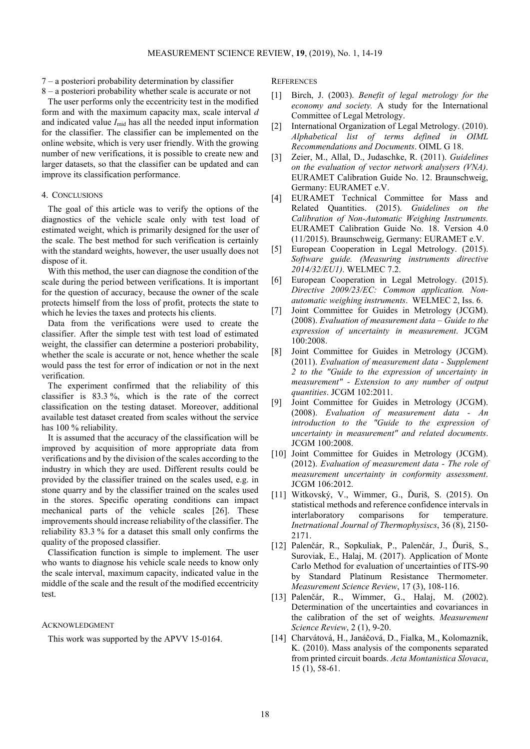7 – a posteriori probability determination by classifier

8 – a posteriori probability whether scale is accurate or not

The user performs only the eccentricity test in the modified form and with the maximum capacity max, scale interval *d* and indicated value  $I_{mid}$  has all the needed input information for the classifier. The classifier can be implemented on the online website, which is very user friendly. With the growing number of new verifications, it is possible to create new and larger datasets, so that the classifier can be updated and can improve its classification performance.

## 4. CONCLUSIONS

The goal of this article was to verify the options of the diagnostics of the vehicle scale only with test load of estimated weight, which is primarily designed for the user of the scale. The best method for such verification is certainly with the standard weights, however, the user usually does not dispose of it.

With this method, the user can diagnose the condition of the scale during the period between verifications. It is important for the question of accuracy, because the owner of the scale protects himself from the loss of profit, protects the state to which he levies the taxes and protects his clients.

Data from the verifications were used to create the classifier. After the simple test with test load of estimated weight, the classifier can determine a posteriori probability, whether the scale is accurate or not, hence whether the scale would pass the test for error of indication or not in the next verification.

The experiment confirmed that the reliability of this classifier is 83.3 %, which is the rate of the correct classification on the testing dataset. Moreover, additional available test dataset created from scales without the service has 100 % reliability.

It is assumed that the accuracy of the classification will be improved by acquisition of more appropriate data from verifications and by the division of the scales according to the industry in which they are used. Different results could be provided by the classifier trained on the scales used, e.g. in stone quarry and by the classifier trained on the scales used in the stores. Specific operating conditions can impact mechanical parts of the vehicle scales [26]. These improvements should increase reliability of the classifier. The reliability 83.3 % for a dataset this small only confirms the quality of the proposed classifier.

Classification function is simple to implement. The user who wants to diagnose his vehicle scale needs to know only the scale interval, maximum capacity, indicated value in the middle of the scale and the result of the modified eccentricity test.

#### ACKNOWLEDGMENT

This work was supported by the APVV 15-0164.

**REFERENCES** 

- [1] Birch, J. (2003). *Benefit of legal metrology for the economy and society.* A study for the International Committee of Legal Metrology.
- [2] International Organization of Legal Metrology. (2010). *Alphabetical list of terms defined in OIML Recommendations and Documents*. OIML G 18.
- [3] Zeier, M., Allal, D., Judaschke, R. (2011). *Guidelines on the evaluation of vector network analysers (VNA)*. EURAMET Calibration Guide No. 12. Braunschweig, Germany: EURAMET e.V.
- [4] EURAMET Technical Committee for Mass and Related Quantities. (2015). *Guidelines on the Calibration of Non-Automatic Weighing Instruments.* EURAMET Calibration Guide No. 18. Version 4.0 (11/2015). Braunschweig, Germany: EURAMET e.V.
- [5] European Cooperation in Legal Metrology. (2015). *Software guide. (Measuring instruments directive 2014/32/EU1)*. WELMEC 7.2.
- [6] European Cooperation in Legal Metrology. (2015). *Directive 2009/23/EC: Common application. Nonautomatic weighing instruments*. WELMEC 2, Iss. 6.
- [7] Joint Committee for Guides in Metrology (JCGM). (2008). *Evaluation of measurement data – Guide to the expression of uncertainty in measurement*. JCGM 100:2008.
- [8] Joint Committee for Guides in Metrology (JCGM). (2011). *Evaluation of measurement data - Supplement 2 to the "Guide to the expression of uncertainty in measurement" - Extension to any number of output quantities*. JCGM 102:2011.
- [9] Joint Committee for Guides in Metrology (JCGM). (2008). *Evaluation of measurement data - An introduction to the "Guide to the expression of uncertainty in measurement" and related documents*. JCGM 100:2008.
- [10] Joint Committee for Guides in Metrology (JCGM). (2012). *Evaluation of measurement data - The role of measurement uncertainty in conformity assessment*. JCGM 106:2012.
- [11] Witkovský, V., Wimmer, G., Ďuriš, S. (2015). On statistical methods and reference confidence intervals in interlaboratory comparisons for temperature. *Inetrnational Journal of Thermophysiscs*, 36 (8), 2150- 2171.
- [12] Palenčár, R., Sopkuliak, P., Palenčár, J., Ďuriš, S., Suroviak, E., Halaj, M. (2017). Application of Monte Carlo Method for evaluation of uncertainties of ITS-90 by Standard Platinum Resistance Thermometer. *Measurement Science Review*, 17 (3), 108-116.
- [13] Palenčár, R., Wimmer, G., Halaj, M. (2002). Determination of the uncertainties and covariances in the calibration of the set of weights. *Measurement Science Review*, 2 (1), 9-20.
- [14] Charvátová, H., Janáčová, D., Fialka, M., Kolomazník, K. (2010). Mass analysis of the components separated from printed circuit boards. *Acta Montanistica Slovaca*, 15 (1), 58-61.